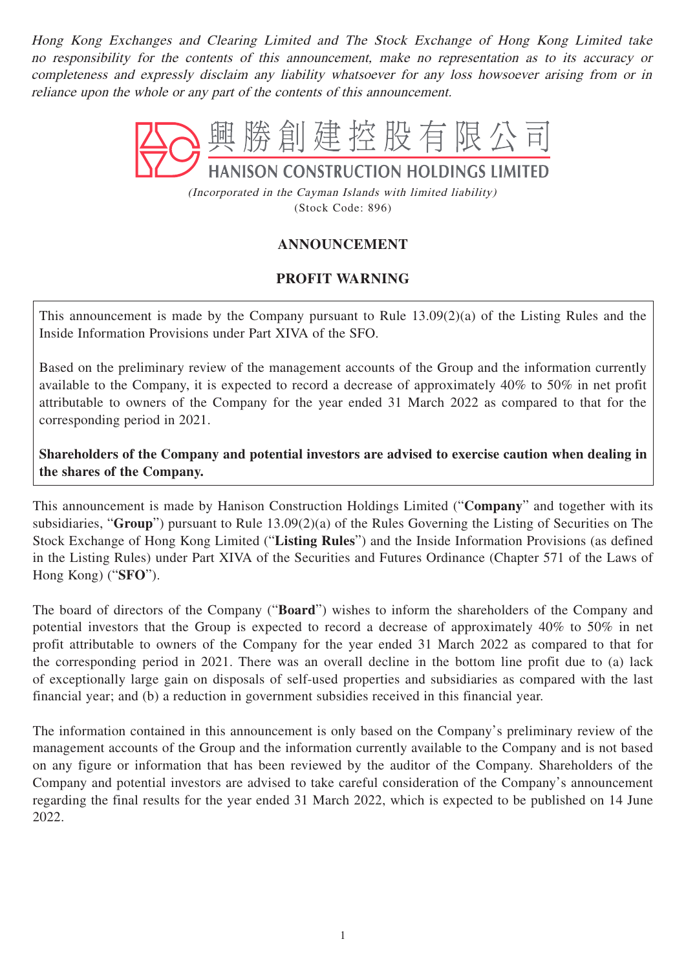Hong Kong Exchanges and Clearing Limited and The Stock Exchange of Hong Kong Limited take no responsibility for the contents of this announcement, make no representation as to its accuracy or completeness and expressly disclaim any liability whatsoever for any loss howsoever arising from or in reliance upon the whole or any part of the contents of this announcement.



(Incorporated in the Cayman Islands with limited liability) (Stock Code: 896)

## **ANNOUNCEMENT**

## **PROFIT WARNING**

This announcement is made by the Company pursuant to Rule 13.09(2)(a) of the Listing Rules and the Inside Information Provisions under Part XIVA of the SFO.

Based on the preliminary review of the management accounts of the Group and the information currently available to the Company, it is expected to record a decrease of approximately 40% to 50% in net profit attributable to owners of the Company for the year ended 31 March 2022 as compared to that for the corresponding period in 2021.

**Shareholders of the Company and potential investors are advised to exercise caution when dealing in the shares of the Company.**

This announcement is made by Hanison Construction Holdings Limited ("**Company**" and together with its subsidiaries, "**Group**") pursuant to Rule 13.09(2)(a) of the Rules Governing the Listing of Securities on The Stock Exchange of Hong Kong Limited ("**Listing Rules**") and the Inside Information Provisions (as defined in the Listing Rules) under Part XIVA of the Securities and Futures Ordinance (Chapter 571 of the Laws of Hong Kong) ("**SFO**").

The board of directors of the Company ("**Board**") wishes to inform the shareholders of the Company and potential investors that the Group is expected to record a decrease of approximately 40% to 50% in net profit attributable to owners of the Company for the year ended 31 March 2022 as compared to that for the corresponding period in 2021. There was an overall decline in the bottom line profit due to (a) lack of exceptionally large gain on disposals of self-used properties and subsidiaries as compared with the last financial year; and (b) a reduction in government subsidies received in this financial year.

The information contained in this announcement is only based on the Company's preliminary review of the management accounts of the Group and the information currently available to the Company and is not based on any figure or information that has been reviewed by the auditor of the Company. Shareholders of the Company and potential investors are advised to take careful consideration of the Company's announcement regarding the final results for the year ended 31 March 2022, which is expected to be published on 14 June 2022.